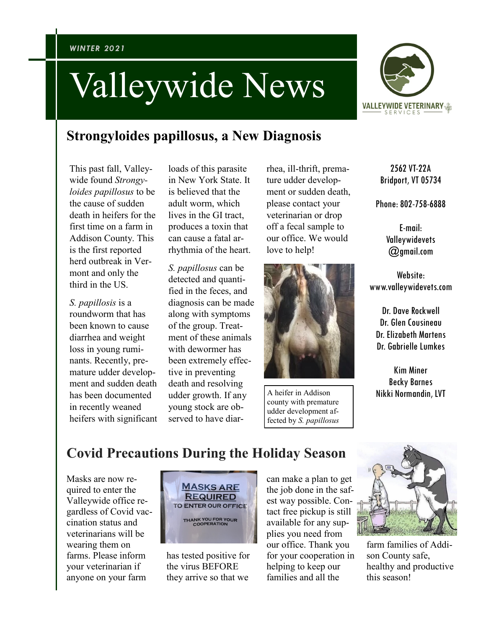## Valleywide News



## **Strongyloides papillosus, a New Diagnosis**

This past fall, Valleywide found *Strongyloides papillosus* to be the cause of sudden death in heifers for the first time on a farm in Addison County. This is the first reported herd outbreak in Vermont and only the third in the US.

*S. papillosis* is a roundworm that has been known to cause diarrhea and weight loss in young ruminants. Recently, premature udder development and sudden death has been documented in recently weaned heifers with significant

loads of this parasite in New York State. It is believed that the adult worm, which lives in the GI tract, produces a toxin that can cause a fatal arrhythmia of the heart.

*S. papillosus* can be detected and quantified in the feces, and diagnosis can be made along with symptoms of the group. Treatment of these animals with dewormer has been extremely effective in preventing death and resolving udder growth. If any young stock are observed to have diar-

rhea, ill-thrift, premature udder development or sudden death, please contact your veterinarian or drop off a fecal sample to our office. We would love to help!



A heifer in Addison county with premature udder development affected by *S. papillosus*

2562 VT-22A Bridport, VT 05734

Phone: 802-758-6888

E-mail: Valleywidevets @gmail.com

Website: www.valleywidevets.com

Dr. Dave Rockwell Dr. Glen Cousineau Dr. Elizabeth Martens Dr. Gabrielle Lumkes

Kim Miner Becky Barnes Nikki Normandin, LVT

## **Covid Precautions During the Holiday Season**

Masks are now required to enter the Valleywide office regardless of Covid vaccination status and veterinarians will be wearing them on farms. Please inform your veterinarian if anyone on your farm



has tested positive for the virus BEFORE they arrive so that we

can make a plan to get the job done in the safest way possible. Contact free pickup is still available for any supplies you need from our office. Thank you for your cooperation in helping to keep our families and all the



farm families of Addison County safe, healthy and productive this season!